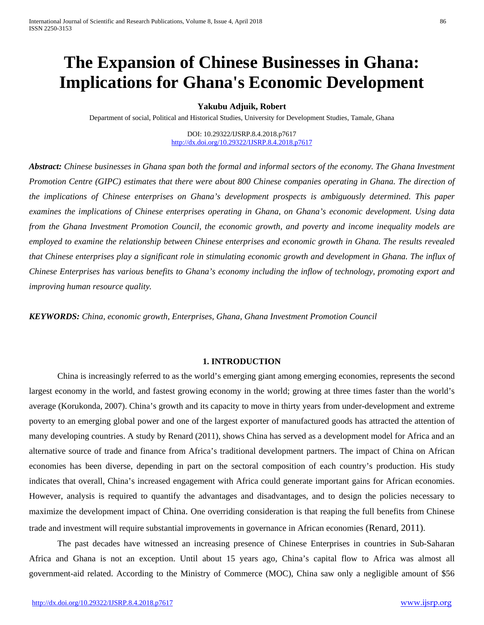# **The Expansion of Chinese Businesses in Ghana: Implications for Ghana's Economic Development**

#### **Yakubu Adjuik, Robert**

Department of social, Political and Historical Studies, University for Development Studies, Tamale, Ghana

DOI: 10.29322/IJSRP.8.4.2018.p7617 <http://dx.doi.org/10.29322/IJSRP.8.4.2018.p7617>

*Abstract: Chinese businesses in Ghana span both the formal and informal sectors of the economy. The Ghana Investment Promotion Centre (GIPC) estimates that there were about 800 Chinese companies operating in Ghana. The direction of the implications of Chinese enterprises on Ghana's development prospects is ambiguously determined. This paper examines the implications of Chinese enterprises operating in Ghana, on Ghana's economic development. Using data from the Ghana Investment Promotion Council, the economic growth, and poverty and income inequality models are employed to examine the relationship between Chinese enterprises and economic growth in Ghana. The results revealed that Chinese enterprises play a significant role in stimulating economic growth and development in Ghana. The influx of Chinese Enterprises has various benefits to Ghana's economy including the inflow of technology, promoting export and improving human resource quality.* 

*KEYWORDS: China, economic growth, Enterprises, Ghana, Ghana Investment Promotion Council*

#### **1. INTRODUCTION**

China is increasingly referred to as the world's emerging giant among emerging economies, represents the second largest economy in the world, and fastest growing economy in the world; growing at three times faster than the world's average (Korukonda, 2007). China's growth and its capacity to move in thirty years from under-development and extreme poverty to an emerging global power and one of the largest exporter of manufactured goods has attracted the attention of many developing countries. A study by Renard (2011), shows China has served as a development model for Africa and an alternative source of trade and finance from Africa's traditional development partners. The impact of China on African economies has been diverse, depending in part on the sectoral composition of each country's production. His study indicates that overall, China's increased engagement with Africa could generate important gains for African economies. However, analysis is required to quantify the advantages and disadvantages, and to design the policies necessary to maximize the development impact of China. One overriding consideration is that reaping the full benefits from Chinese trade and investment will require substantial improvements in governance in African economies (Renard, 2011).

The past decades have witnessed an increasing presence of Chinese Enterprises in countries in Sub-Saharan Africa and Ghana is not an exception. Until about 15 years ago, China's capital flow to Africa was almost all government-aid related. According to the Ministry of Commerce (MOC), China saw only a negligible amount of \$56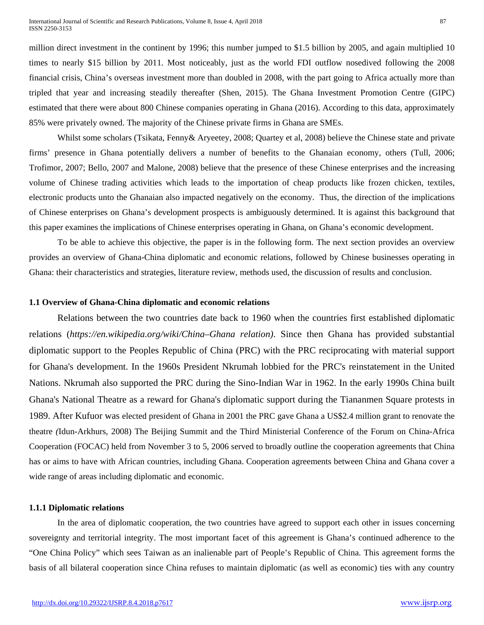million direct investment in the continent by 1996; this number jumped to \$1.5 billion by 2005, and again multiplied 10 times to nearly \$15 billion by 2011. Most noticeably, just as the world FDI outflow nosedived following the 2008 financial crisis, China's overseas investment more than doubled in 2008, with the part going to Africa actually more than tripled that year and increasing steadily thereafter (Shen, 2015). The Ghana Investment Promotion Centre (GIPC) estimated that there were about 800 Chinese companies operating in Ghana (2016). According to this data, approximately 85% were privately owned. The majority of the Chinese private firms in Ghana are SMEs.

Whilst some scholars (Tsikata, Fenny& Aryeetey, 2008; Quartey et al, 2008) believe the Chinese state and private firms' presence in Ghana potentially delivers a number of benefits to the Ghanaian economy, others (Tull, 2006; Trofimor, 2007; Bello, 2007 and Malone, 2008) believe that the presence of these Chinese enterprises and the increasing volume of Chinese trading activities which leads to the importation of cheap products like frozen chicken, textiles, electronic products unto the Ghanaian also impacted negatively on the economy. Thus, the direction of the implications of Chinese enterprises on Ghana's development prospects is ambiguously determined. It is against this background that this paper examines the implications of Chinese enterprises operating in Ghana, on Ghana's economic development.

To be able to achieve this objective, the paper is in the following form. The next section provides an overview provides an overview of Ghana-China diplomatic and economic relations, followed by Chinese businesses operating in Ghana: their characteristics and strategies, literature review, methods used, the discussion of results and conclusion.

#### **1.1 Overview of Ghana-China diplomatic and economic relations**

Relations between the two countries date back to 1960 when the countries first established diplomatic relations (*https://en.wikipedia.org/wiki/China–Ghana relation)*. Since then Ghana has provided substantial diplomatic support to the Peoples Republic of China (PRC) with the PRC reciprocating with material support for Ghana's development. In the 1960s President [Nkrumah](https://en.wikipedia.org/wiki/Nkrumah) lobbied for the PRC's reinstatement in the United Nations. Nkrumah also supported the PRC during the [Sino-Indian War](https://en.wikipedia.org/wiki/Sino-Indian_War) in 1962. In the early 1990s China built Ghana's National Theatre as a reward for Ghana's diplomatic support during the [Tiananmen Square protests](https://en.wikipedia.org/wiki/Tiananmen_Square_protests_of_1989) in 1989. After Kufuor was elected president of Ghana in 2001 the PRC gave Ghana a US\$2.4 million grant to renovate the theatre *(*Idun-Arkhurs, 2008) The Beijing Summit and the Third Ministerial Conference of the Forum on China-Africa Cooperation (FOCAC) held from November 3 to 5, 2006 served to broadly outline the cooperation agreements that China has or aims to have with African countries, including Ghana. Cooperation agreements between China and Ghana cover a wide range of areas including diplomatic and economic.

# **1.1.1 Diplomatic relations**

In the area of diplomatic cooperation, the two countries have agreed to support each other in issues concerning sovereignty and territorial integrity. The most important facet of this agreement is Ghana's continued adherence to the "One China Policy" which sees Taiwan as an inalienable part of People's Republic of China. This agreement forms the basis of all bilateral cooperation since China refuses to maintain diplomatic (as well as economic) ties with any country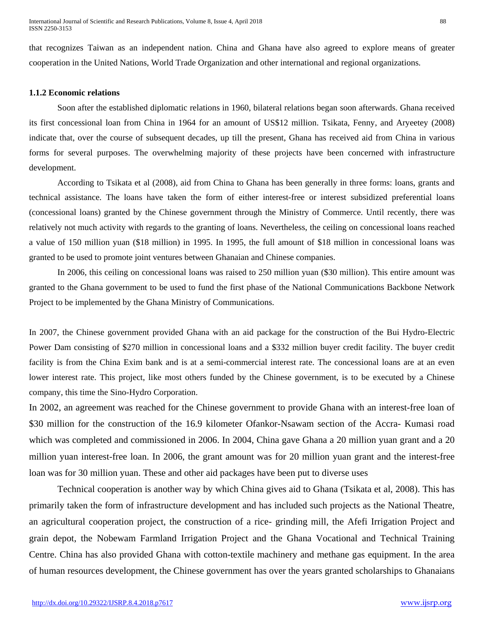that recognizes Taiwan as an independent nation. China and Ghana have also agreed to explore means of greater cooperation in the United Nations, World Trade Organization and other international and regional organizations.

# **1.1.2 Economic relations**

Soon after the established diplomatic relations in 1960, bilateral relations began soon afterwards. Ghana received its first concessional loan from China in 1964 for an amount of US\$12 million. Tsikata, Fenny, and Aryeetey (2008) indicate that, over the course of subsequent decades, up till the present, Ghana has received aid from China in various forms for several purposes. The overwhelming majority of these projects have been concerned with infrastructure development.

According to Tsikata et al (2008), aid from China to Ghana has been generally in three forms: loans, grants and technical assistance. The loans have taken the form of either interest-free or interest subsidized preferential loans (concessional loans) granted by the Chinese government through the Ministry of Commerce. Until recently, there was relatively not much activity with regards to the granting of loans. Nevertheless, the ceiling on concessional loans reached a value of 150 million yuan (\$18 million) in 1995. In 1995, the full amount of \$18 million in concessional loans was granted to be used to promote joint ventures between Ghanaian and Chinese companies.

In 2006, this ceiling on concessional loans was raised to 250 million yuan (\$30 million). This entire amount was granted to the Ghana government to be used to fund the first phase of the National Communications Backbone Network Project to be implemented by the Ghana Ministry of Communications.

In 2007, the Chinese government provided Ghana with an aid package for the construction of the Bui Hydro-Electric Power Dam consisting of \$270 million in concessional loans and a \$332 million buyer credit facility. The buyer credit facility is from the China Exim bank and is at a semi-commercial interest rate. The concessional loans are at an even lower interest rate. This project, like most others funded by the Chinese government, is to be executed by a Chinese company, this time the Sino-Hydro Corporation.

In 2002, an agreement was reached for the Chinese government to provide Ghana with an interest-free loan of \$30 million for the construction of the 16.9 kilometer Ofankor-Nsawam section of the Accra- Kumasi road which was completed and commissioned in 2006. In 2004, China gave Ghana a 20 million yuan grant and a 20 million yuan interest-free loan. In 2006, the grant amount was for 20 million yuan grant and the interest-free loan was for 30 million yuan. These and other aid packages have been put to diverse uses

Technical cooperation is another way by which China gives aid to Ghana (Tsikata et al, 2008). This has primarily taken the form of infrastructure development and has included such projects as the National Theatre, an agricultural cooperation project, the construction of a rice- grinding mill, the Afefi Irrigation Project and grain depot, the Nobewam Farmland Irrigation Project and the Ghana Vocational and Technical Training Centre. China has also provided Ghana with cotton-textile machinery and methane gas equipment. In the area of human resources development, the Chinese government has over the years granted scholarships to Ghanaians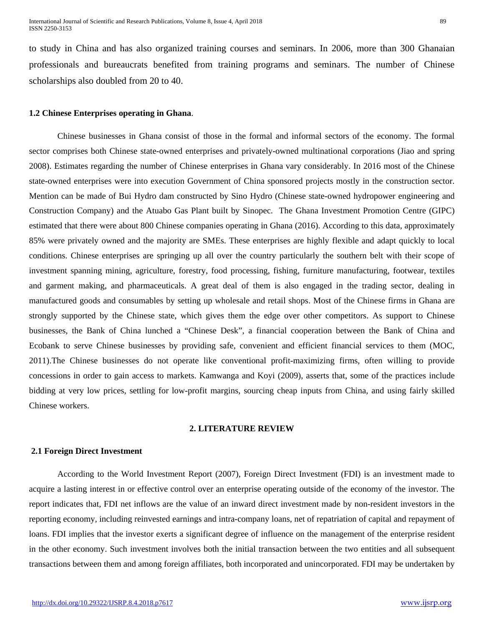to study in China and has also organized training courses and seminars. In 2006, more than 300 Ghanaian professionals and bureaucrats benefited from training programs and seminars. The number of Chinese scholarships also doubled from 20 to 40.

### **1.2 Chinese Enterprises operating in Ghana**.

Chinese businesses in Ghana consist of those in the formal and informal sectors of the economy. The formal sector comprises both Chinese state-owned enterprises and privately-owned multinational corporations (Jiao and spring 2008). Estimates regarding the number of Chinese enterprises in Ghana vary considerably. In 2016 most of the Chinese state-owned enterprises were into execution Government of China sponsored projects mostly in the construction sector. Mention can be made of Bui Hydro dam constructed by Sino Hydro (Chinese state-owned hydropower engineering and Construction Company) and the Atuabo Gas Plant built by Sinopec. The Ghana Investment Promotion Centre (GIPC) estimated that there were about 800 Chinese companies operating in Ghana (2016). According to this data, approximately 85% were privately owned and the majority are SMEs. These enterprises are highly flexible and adapt quickly to local conditions. Chinese enterprises are springing up all over the country particularly the southern belt with their scope of investment spanning mining, agriculture, forestry, food processing, fishing, furniture manufacturing, footwear, textiles and garment making, and pharmaceuticals. A great deal of them is also engaged in the trading sector, dealing in manufactured goods and consumables by setting up wholesale and retail shops. Most of the Chinese firms in Ghana are strongly supported by the Chinese state, which gives them the edge over other competitors. As support to Chinese businesses, the Bank of China lunched a "Chinese Desk", a financial cooperation between the Bank of China and Ecobank to serve Chinese businesses by providing safe, convenient and efficient financial services to them (MOC, 2011).The Chinese businesses do not operate like conventional profit-maximizing firms, often willing to provide concessions in order to gain access to markets. Kamwanga and Koyi (2009), asserts that, some of the practices include bidding at very low prices, settling for low-profit margins, sourcing cheap inputs from China, and using fairly skilled Chinese workers.

#### **2. LITERATURE REVIEW**

# **2.1 Foreign Direct Investment**

According to the World Investment Report (2007), Foreign Direct Investment (FDI) is an investment made to acquire a lasting interest in or effective control over an enterprise operating outside of the economy of the investor. The report indicates that, FDI net inflows are the value of an inward direct investment made by non-resident investors in the reporting economy, including reinvested earnings and intra-company loans, net of repatriation of capital and repayment of loans. FDI implies that the investor exerts a significant degree of influence on the management of the enterprise resident in the other economy. Such investment involves both the initial transaction between the two entities and all subsequent transactions between them and among foreign affiliates, both incorporated and unincorporated. FDI may be undertaken by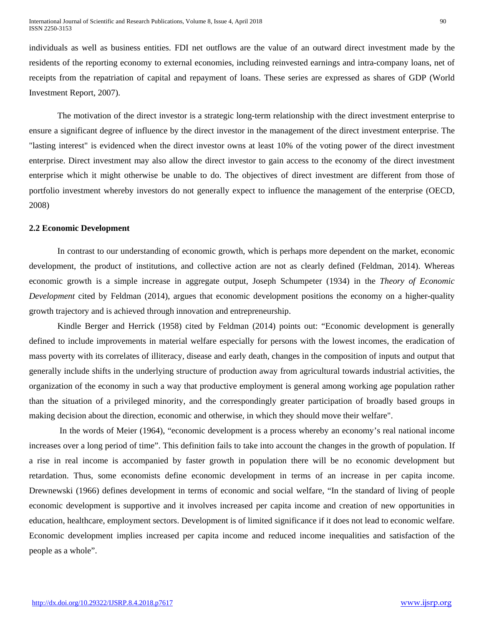individuals as well as business entities. FDI net outflows are the value of an outward direct investment made by the residents of the reporting economy to external economies, including reinvested earnings and intra-company loans, net of receipts from the repatriation of capital and repayment of loans. These series are expressed as shares of GDP (World Investment Report, 2007).

The motivation of the direct investor is a strategic long-term relationship with the direct investment enterprise to ensure a significant degree of influence by the direct investor in the management of the direct investment enterprise. The "lasting interest" is evidenced when the direct investor owns at least 10% of the voting power of the direct investment enterprise. Direct investment may also allow the direct investor to gain access to the economy of the direct investment enterprise which it might otherwise be unable to do. The objectives of direct investment are different from those of portfolio investment whereby investors do not generally expect to influence the management of the enterprise (OECD, 2008)

#### **2.2 Economic Development**

In contrast to our understanding of economic growth, which is perhaps more dependent on the market, economic development, the product of institutions, and collective action are not as clearly defined (Feldman, 2014). Whereas economic growth is a simple increase in aggregate output, Joseph Schumpeter (1934) in the *Theory of Economic Development* cited by Feldman (2014), argues that economic development positions the economy on a higher-quality growth trajectory and is achieved through innovation and entrepreneurship.

Kindle Berger and Herrick (1958) cited by Feldman (2014) points out: "Economic development is generally defined to include improvements in material welfare especially for persons with the lowest incomes, the eradication of mass poverty with its correlates of illiteracy, disease and early death, changes in the composition of inputs and output that generally include shifts in the underlying structure of production away from agricultural towards industrial activities, the organization of the economy in such a way that productive employment is general among working age population rather than the situation of a privileged minority, and the correspondingly greater participation of broadly based groups in making decision about the direction, economic and otherwise, in which they should move their welfare".

In the words of Meier (1964), "economic development is a process whereby an economy's real national income increases over a long period of time". This definition fails to take into account the changes in the growth of population. If a rise in real income is accompanied by faster growth in population there will be no economic development but retardation. Thus, some economists define economic development in terms of an increase in per capita income. Drewnewski (1966) defines development in terms of economic and social welfare, "In the standard of living of people economic development is supportive and it involves increased per capita income and creation of new opportunities in education, healthcare, employment sectors. Development is of limited significance if it does not lead to economic welfare. Economic development implies increased per capita income and reduced income inequalities and satisfaction of the people as a whole".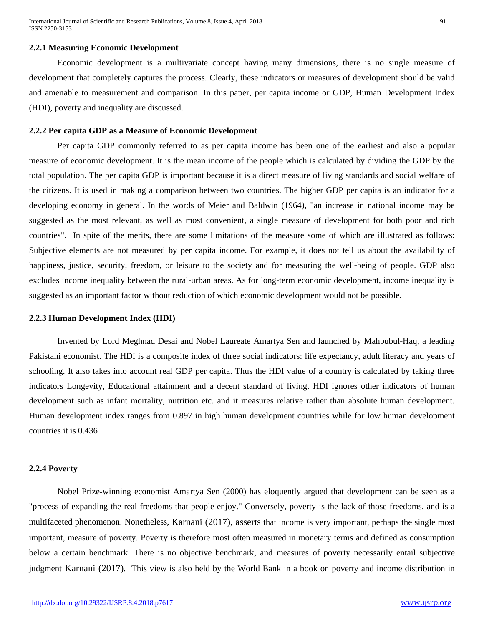#### **2.2.1 Measuring Economic Development**

Economic development is a multivariate concept having many dimensions, there is no single measure of development that completely captures the process. Clearly, these indicators or measures of development should be valid and amenable to measurement and comparison. In this paper, per capita income or GDP, Human Development Index (HDI), poverty and inequality are discussed.

#### **2.2.2 Per capita GDP as a Measure of Economic Development**

Per capita GDP commonly referred to as per capita income has been one of the earliest and also a popular measure of economic development. It is the mean income of the people which is calculated by dividing the GDP by the total population. The per capita GDP is important because it is a direct measure of living standards and social welfare of the citizens. It is used in making a comparison between two countries. The higher GDP per capita is an indicator for a developing economy in general. In the words of Meier and Baldwin (1964), "an increase in national income may be suggested as the most relevant, as well as most convenient, a single measure of development for both poor and rich countries". In spite of the merits, there are some limitations of the measure some of which are illustrated as follows: Subjective elements are not measured by per capita income. For example, it does not tell us about the availability of happiness, justice, security, freedom, or leisure to the society and for measuring the well-being of people. GDP also excludes income inequality between the rural-urban areas. As for long-term economic development, income inequality is suggested as an important factor without reduction of which economic development would not be possible.

#### **2.2.3 Human Development Index (HDI)**

Invented by Lord Meghnad Desai and Nobel Laureate Amartya Sen and launched by Mahbubul-Haq, a leading Pakistani economist. The HDI is a composite index of three social indicators: life expectancy, adult literacy and years of schooling. It also takes into account real GDP per capita. Thus the HDI value of a country is calculated by taking three indicators Longevity, Educational attainment and a decent standard of living. HDI ignores other indicators of human development such as infant mortality, nutrition etc. and it measures relative rather than absolute human development. Human development index ranges from 0.897 in high human development countries while for low human development countries it is 0.436

#### **2.2.4 Poverty**

Nobel Prize-winning economist Amartya Sen (2000) has eloquently argued that development can be seen as a "process of expanding the real freedoms that people enjoy." Conversely, poverty is the lack of those freedoms, and is a multifaceted phenomenon. Nonetheless, Karnani (2017), asserts that income is very important, perhaps the single most important, measure of poverty. Poverty is therefore most often measured in monetary terms and defined as consumption below a certain benchmark. There is no objective benchmark, and measures of poverty necessarily entail subjective judgment Karnani (2017). This view is also held by the World Bank in a book on poverty and income distribution in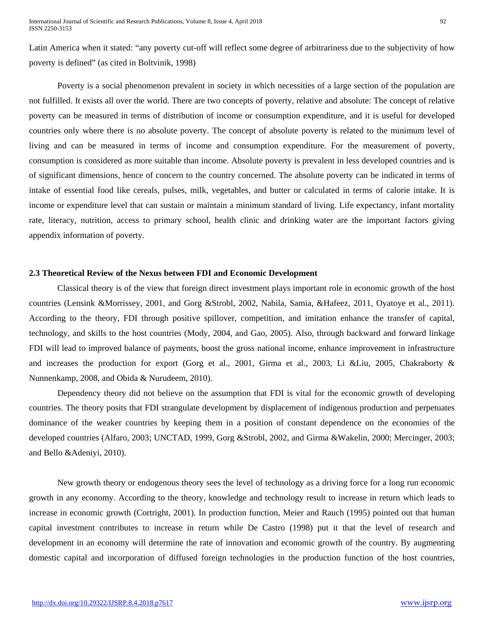Latin America when it stated: "any poverty cut-off will reflect some degree of arbitrariness due to the subjectivity of how poverty is defined" (as cited in Boltvinik, 1998)

Poverty is a social phenomenon prevalent in society in which necessities of a large section of the population are not fulfilled. It exists all over the world. There are two concepts of poverty, relative and absolute: The concept of relative poverty can be measured in terms of distribution of income or consumption expenditure, and it is useful for developed countries only where there is no absolute poverty. The concept of absolute poverty is related to the minimum level of living and can be measured in terms of income and consumption expenditure. For the measurement of poverty, consumption is considered as more suitable than income. Absolute poverty is prevalent in less developed countries and is of significant dimensions, hence of concern to the country concerned. The absolute poverty can be indicated in terms of intake of essential food like cereals, pulses, milk, vegetables, and butter or calculated in terms of calorie intake. It is income or expenditure level that can sustain or maintain a minimum standard of living. Life expectancy, infant mortality rate, literacy, nutrition, access to primary school, health clinic and drinking water are the important factors giving appendix information of poverty.

#### **2.3 Theoretical Review of the Nexus between FDI and Economic Development**

Classical theory is of the view that foreign direct investment plays important role in economic growth of the host countries (Lensink &Morrissey, 2001, and Gorg &Strobl, 2002, Nabila, Samia, &Hafeez, 2011, Oyatoye et al., 2011). According to the theory, FDI through positive spillover, competition, and imitation enhance the transfer of capital, technology, and skills to the host countries (Mody, 2004, and Gao, 2005). Also, through backward and forward linkage FDI will lead to improved balance of payments, boost the gross national income, enhance improvement in infrastructure and increases the production for export (Gorg et al., 2001, Girma et al., 2003, Li &Liu, 2005, Chakraborty & Nunnenkamp, 2008, and Obida & Nurudeem, 2010).

Dependency theory did not believe on the assumption that FDI is vital for the economic growth of developing countries. The theory posits that FDI strangulate development by displacement of indigenous production and perpetuates dominance of the weaker countries by keeping them in a position of constant dependence on the economies of the developed countries (Alfaro, 2003; UNCTAD, 1999, Gorg &Strobl, 2002, and Girma &Wakelin, 2000; Mercinger, 2003; and Bello &Adeniyi, 2010).

New growth theory or endogenous theory sees the level of technology as a driving force for a long run economic growth in any economy. According to the theory, knowledge and technology result to increase in return which leads to increase in economic growth (Cortright, 2001). In production function, Meier and Rauch (1995) pointed out that human capital investment contributes to increase in return while De Castro (1998) put it that the level of research and development in an economy will determine the rate of innovation and economic growth of the country. By augmenting domestic capital and incorporation of diffused foreign technologies in the production function of the host countries,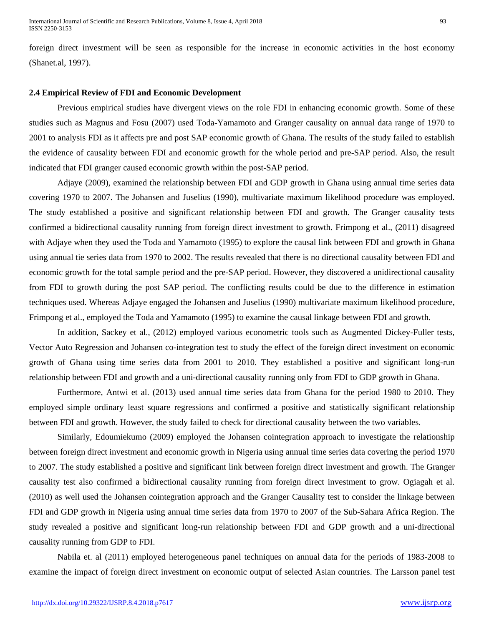foreign direct investment will be seen as responsible for the increase in economic activities in the host economy (Shanet.al, 1997).

#### **2.4 Empirical Review of FDI and Economic Development**

Previous empirical studies have divergent views on the role FDI in enhancing economic growth. Some of these studies such as Magnus and Fosu (2007) used Toda-Yamamoto and Granger causality on annual data range of 1970 to 2001 to analysis FDI as it affects pre and post SAP economic growth of Ghana. The results of the study failed to establish the evidence of causality between FDI and economic growth for the whole period and pre-SAP period. Also, the result indicated that FDI granger caused economic growth within the post-SAP period.

Adjaye (2009), examined the relationship between FDI and GDP growth in Ghana using annual time series data covering 1970 to 2007. The Johansen and Juselius (1990), multivariate maximum likelihood procedure was employed. The study established a positive and significant relationship between FDI and growth. The Granger causality tests confirmed a bidirectional causality running from foreign direct investment to growth. Frimpong et al., (2011) disagreed with Adjaye when they used the Toda and Yamamoto (1995) to explore the causal link between FDI and growth in Ghana using annual tie series data from 1970 to 2002. The results revealed that there is no directional causality between FDI and economic growth for the total sample period and the pre-SAP period. However, they discovered a unidirectional causality from FDI to growth during the post SAP period. The conflicting results could be due to the difference in estimation techniques used. Whereas Adjaye engaged the Johansen and Juselius (1990) multivariate maximum likelihood procedure, Frimpong et al., employed the Toda and Yamamoto (1995) to examine the causal linkage between FDI and growth.

In addition, Sackey et al., (2012) employed various econometric tools such as Augmented Dickey-Fuller tests, Vector Auto Regression and Johansen co-integration test to study the effect of the foreign direct investment on economic growth of Ghana using time series data from 2001 to 2010. They established a positive and significant long-run relationship between FDI and growth and a uni-directional causality running only from FDI to GDP growth in Ghana.

Furthermore, Antwi et al. (2013) used annual time series data from Ghana for the period 1980 to 2010. They employed simple ordinary least square regressions and confirmed a positive and statistically significant relationship between FDI and growth. However, the study failed to check for directional causality between the two variables.

Similarly, Edoumiekumo (2009) employed the Johansen cointegration approach to investigate the relationship between foreign direct investment and economic growth in Nigeria using annual time series data covering the period 1970 to 2007. The study established a positive and significant link between foreign direct investment and growth. The Granger causality test also confirmed a bidirectional causality running from foreign direct investment to grow. Ogiagah et al. (2010) as well used the Johansen cointegration approach and the Granger Causality test to consider the linkage between FDI and GDP growth in Nigeria using annual time series data from 1970 to 2007 of the Sub-Sahara Africa Region. The study revealed a positive and significant long-run relationship between FDI and GDP growth and a uni-directional causality running from GDP to FDI.

Nabila et. al (2011) employed heterogeneous panel techniques on annual data for the periods of 1983-2008 to examine the impact of foreign direct investment on economic output of selected Asian countries. The Larsson panel test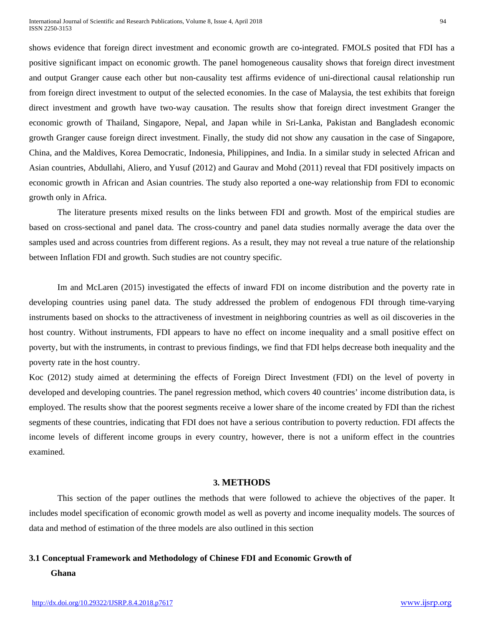shows evidence that foreign direct investment and economic growth are co-integrated. FMOLS posited that FDI has a positive significant impact on economic growth. The panel homogeneous causality shows that foreign direct investment and output Granger cause each other but non-causality test affirms evidence of uni-directional causal relationship run from foreign direct investment to output of the selected economies. In the case of Malaysia, the test exhibits that foreign direct investment and growth have two-way causation. The results show that foreign direct investment Granger the economic growth of Thailand, Singapore, Nepal, and Japan while in Sri-Lanka, Pakistan and Bangladesh economic growth Granger cause foreign direct investment. Finally, the study did not show any causation in the case of Singapore, China, and the Maldives, Korea Democratic, Indonesia, Philippines, and India. In a similar study in selected African and Asian countries, Abdullahi, Aliero, and Yusuf (2012) and Gaurav and Mohd (2011) reveal that FDI positively impacts on economic growth in African and Asian countries. The study also reported a one-way relationship from FDI to economic growth only in Africa.

The literature presents mixed results on the links between FDI and growth. Most of the empirical studies are based on cross-sectional and panel data. The cross-country and panel data studies normally average the data over the samples used and across countries from different regions. As a result, they may not reveal a true nature of the relationship between Inflation FDI and growth. Such studies are not country specific.

Im and McLaren (2015) investigated the effects of inward FDI on income distribution and the poverty rate in developing countries using panel data. The study addressed the problem of endogenous FDI through time-varying instruments based on shocks to the attractiveness of investment in neighboring countries as well as oil discoveries in the host country. Without instruments, FDI appears to have no effect on income inequality and a small positive effect on poverty, but with the instruments, in contrast to previous findings, we find that FDI helps decrease both inequality and the poverty rate in the host country.

Koc (2012) study aimed at determining the effects of Foreign Direct Investment (FDI) on the level of poverty in developed and developing countries. The panel regression method, which covers 40 countries' income distribution data, is employed. The results show that the poorest segments receive a lower share of the income created by FDI than the richest segments of these countries, indicating that FDI does not have a serious contribution to poverty reduction. FDI affects the income levels of different income groups in every country, however, there is not a uniform effect in the countries examined.

## **3. METHODS**

This section of the paper outlines the methods that were followed to achieve the objectives of the paper. It includes model specification of economic growth model as well as poverty and income inequality models. The sources of data and method of estimation of the three models are also outlined in this section

#### **3.1 Conceptual Framework and Methodology of Chinese FDI and Economic Growth of**

#### **Ghana**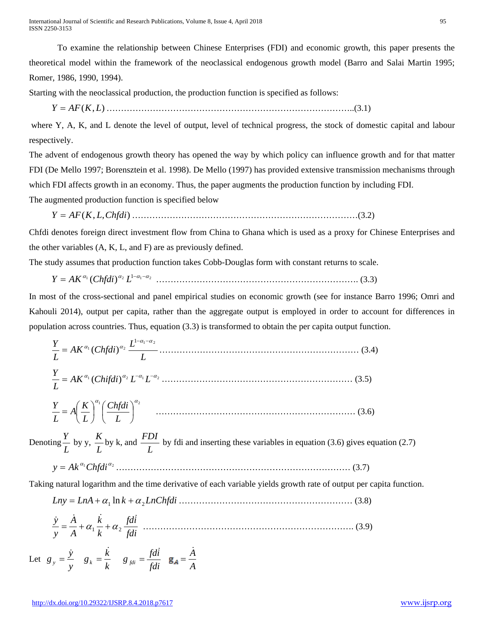To examine the relationship between Chinese Enterprises (FDI) and economic growth, this paper presents the theoretical model within the framework of the neoclassical endogenous growth model (Barro and Salai Martin 1995; Romer, 1986, 1990, 1994).

Starting with the neoclassical production, the production function is specified as follows:

*Y* = *AF*(*K*,*L*) …………………………………………………………………………..(3.1)

where Y, A, K, and L denote the level of output, level of technical progress, the stock of domestic capital and labour respectively.

The advent of endogenous growth theory has opened the way by which policy can influence growth and for that matter FDI (De Mello 1997; Borensztein et al. 1998). De Mello (1997) has provided extensive transmission mechanisms through which FDI affects growth in an economy. Thus, the paper augments the production function by including FDI. The augmented production function is specified below

$$
Y = AF(K, L, Chfdi)
$$
.................(3.2)

Chfdi denotes foreign direct investment flow from China to Ghana which is used as a proxy for Chinese Enterprises and the other variables (A, K, L, and F) are as previously defined.

The study assumes that production function takes Cobb-Douglas form with constant returns to scale.

<sup>1</sup> <sup>2</sup> <sup>1</sup> <sup>1</sup> <sup>2</sup> ( ) <sup>α</sup> <sup>α</sup> <sup>−</sup><sup>α</sup> <sup>−</sup><sup>α</sup> *<sup>Y</sup>* <sup>=</sup> *AK Chfdi <sup>L</sup>* ……………………………………………………………. (3.3)

In most of the cross-sectional and panel empirical studies on economic growth (see for instance Barro 1996; Omri and Kahouli 2014), output per capita, rather than the aggregate output is employed in order to account for differences in population across countries. Thus, equation (3.3) is transformed to obtain the per capita output function.

$$
\frac{Y}{L} = AK^{\alpha_1} (Chfdi)^{\alpha_2} \frac{L^{1-\alpha_1-\alpha_2}}{L}
$$
\n(3.4)\n
$$
\frac{Y}{L} = AK^{\alpha_1} (Chifdi)^{\alpha_2} L^{-\alpha_1} L^{-\alpha_2}
$$
\n(3.5)\n
$$
\frac{Y}{L} = A\left(\frac{K}{L}\right)^{\alpha_1} \left(\frac{Chfdi}{L}\right)^{\alpha_2}
$$
\n(3.6)

Denoting  $\frac{Y}{L}$  by y,  $\frac{K}{L}$  by k, and  $\frac{FDI}{L}$  by fdi and inserting these variables in equation (3.6) gives equation (2.7)

 <sup>α</sup><sup>1</sup> *Chfdi*<sup>α</sup> <sup>2</sup> *y* = *Ak* ……………………………………………………………………… (3.7)

Taking natural logarithm and the time derivative of each variable yields growth rate of output per capita function.

*Lny LnA k LnChfdi* <sup>1</sup> <sup>2</sup> = +<sup>α</sup> ln +<sup>α</sup> …………………………………………………… (3.8)

$$
\frac{\dot{y}}{y} = \frac{\dot{A}}{A} + \alpha_1 \frac{\dot{k}}{k} + \alpha_2 \frac{fdi}{fdi}
$$
................. (3.9)

Let  $g_y = \frac{\dot{y}}{y}$   $g_k = \frac{\dot{k}}{k}$   $g_{fdi} = \frac{fdi}{fdi}$  **g**<sub> $A = \frac{\dot{A}}{A}$ </sub>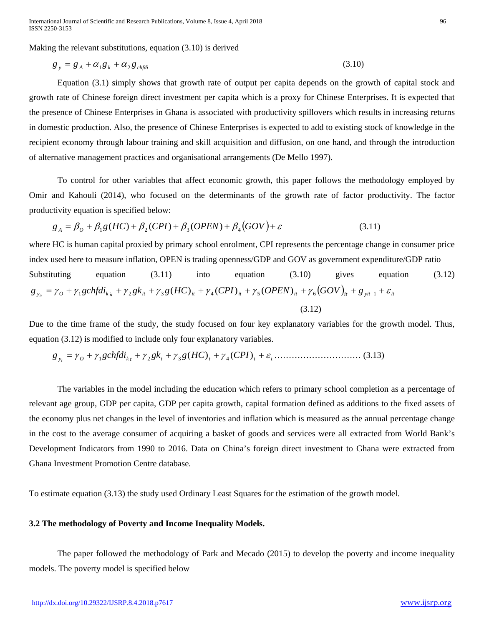Making the relevant substitutions, equation (3.10) is derived

$$
g_y = g_A + \alpha_1 g_k + \alpha_2 g_{\text{chfdi}} \tag{3.10}
$$

Equation (3.1) simply shows that growth rate of output per capita depends on the growth of capital stock and growth rate of Chinese foreign direct investment per capita which is a proxy for Chinese Enterprises. It is expected that the presence of Chinese Enterprises in Ghana is associated with productivity spillovers which results in increasing returns in domestic production. Also, the presence of Chinese Enterprises is expected to add to existing stock of knowledge in the recipient economy through labour training and skill acquisition and diffusion, on one hand, and through the introduction of alternative management practices and organisational arrangements (De Mello 1997).

To control for other variables that affect economic growth, this paper follows the methodology employed by Omir and Kahouli (2014), who focused on the determinants of the growth rate of factor productivity. The factor productivity equation is specified below:

$$
g_A = \beta_O + \beta_1 g(HC) + \beta_2 (CPI) + \beta_3 (OPEN) + \beta_4 (GOV) + \varepsilon
$$
\n(3.11)

where HC is human capital proxied by primary school enrolment, CPI represents the percentage change in consumer price index used here to measure inflation, OPEN is trading openness/GDP and GOV as government expenditure/GDP ratio Substituting equation (3.11) into equation (3.10) gives equation (3.12)  $g_{v_i} = \gamma_0 + \gamma_1 gchfdi_{k_{it}} + \gamma_2 gk_{it} + \gamma_3 g(HC)_{it} + \gamma_4 (CPI)_{it} + \gamma_5 (OPEN)_{it} + \gamma_6 (GOV)_{it} + g_{vit-1} + \varepsilon_{it}$  $(3.12)$ 

Due to the time frame of the study, the study focused on four key explanatory variables for the growth model. Thus, equation (3.12) is modified to include only four explanatory variables.

*g <sup>y</sup> <sup>O</sup> gchfdik <sup>t</sup> gkt g HC <sup>t</sup> CPI <sup>t</sup> <sup>t</sup> <sup>t</sup>* = <sup>γ</sup> + <sup>γ</sup> + <sup>γ</sup> + <sup>γ</sup> ( ) + <sup>γ</sup> ( ) + <sup>ε</sup> <sup>1</sup> <sup>2</sup> <sup>3</sup> <sup>4</sup> ………………………… (3.13)

The variables in the model including the education which refers to primary school completion as a percentage of relevant age group, GDP per capita, GDP per capita growth, capital formation defined as additions to the fixed assets of the economy plus net changes in the level of inventories and inflation which is measured as the annual percentage change in the cost to the average consumer of acquiring a basket of goods and services were all extracted from World Bank's Development Indicators from 1990 to 2016. Data on China's foreign direct investment to Ghana were extracted from Ghana Investment Promotion Centre database.

To estimate equation (3.13) the study used Ordinary Least Squares for the estimation of the growth model.

# **3.2 The methodology of Poverty and Income Inequality Models.**

The paper followed the methodology of Park and Mecado (2015) to develop the poverty and income inequality models. The poverty model is specified below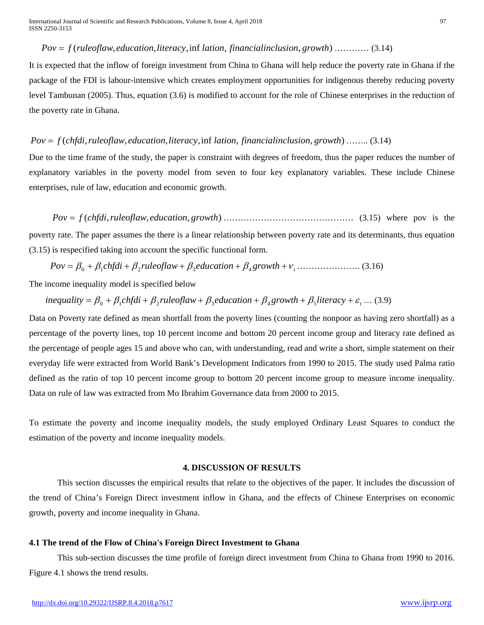# *Pov* = *f* (*ruleoflaw*,*education*,*literacy*,inf *lation*, *financialinclusion*, *growth*) ………… (3.14)

It is expected that the inflow of foreign investment from China to Ghana will help reduce the poverty rate in Ghana if the package of the FDI is labour-intensive which creates employment opportunities for indigenous thereby reducing poverty level Tambunan (2005). Thus, equation (3.6) is modified to account for the role of Chinese enterprises in the reduction of the poverty rate in Ghana.

# *Pov* = *f* (*chfdi*,*ruleoflaw*,*education*,*literacy*,inf *lation*, *financialinclusion*, *growth*) …….. (3.14)

Due to the time frame of the study, the paper is constraint with degrees of freedom, thus the paper reduces the number of explanatory variables in the poverty model from seven to four key explanatory variables. These include Chinese enterprises, rule of law, education and economic growth.

*Pov* = *f* (*chfdi*,*ruleoflaw*,*education*, *growth*) ……………………………………… (3.15) where pov is the poverty rate. The paper assumes the there is a linear relationship between poverty rate and its determinants, thus equation (3.15) is respecified taking into account the specific functional form.

*growth <sup>t</sup> Pov* = β <sup>0</sup> + β1*chfdi* + β <sup>2</sup> *ruleoflaw* + β <sup>3</sup>*education* + β <sup>4</sup> +<sup>ν</sup> …………………. (3.16)

The income inequality model is specified below

 $i$  *inequality* =  $\beta_0 + \beta_1$ *chfdi* +  $\beta_2$ *ruleoflaw* +  $\beta_3$ *education* +  $\beta_4$ *growth* +  $\beta_5$ *literacy* +  $\varepsilon$ <sub>*t*</sub> ... (3.9)

Data on Poverty rate defined as mean shortfall from the poverty lines (counting the nonpoor as having zero shortfall) as a percentage of the poverty lines, top 10 percent income and bottom 20 percent income group and literacy rate defined as the percentage of people ages 15 and above who can, with understanding, read and write a short, simple statement on their everyday life were extracted from World Bank's Development Indicators from 1990 to 2015. The study used Palma ratio defined as the ratio of top 10 percent income group to bottom 20 percent income group to measure income inequality. Data on rule of law was extracted from Mo Ibrahim Governance data from 2000 to 2015.

To estimate the poverty and income inequality models, the study employed Ordinary Least Squares to conduct the estimation of the poverty and income inequality models.

#### **4. DISCUSSION OF RESULTS**

This section discusses the empirical results that relate to the objectives of the paper. It includes the discussion of the trend of China's Foreign Direct investment inflow in Ghana, and the effects of Chinese Enterprises on economic growth, poverty and income inequality in Ghana.

# **4.1 The trend of the Flow of China's Foreign Direct Investment to Ghana**

This sub-section discusses the time profile of foreign direct investment from China to Ghana from 1990 to 2016. Figure 4.1 shows the trend results.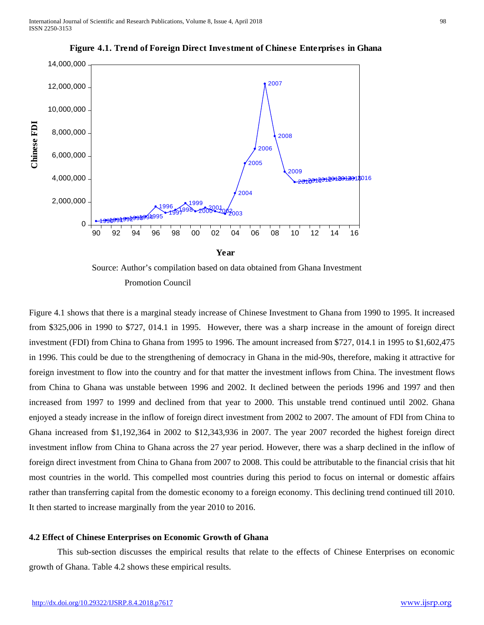

**Figure 4.1. Trend of Foreign Direct Investment of Chinese Enterprises in Ghana**



Figure 4.1 shows that there is a marginal steady increase of Chinese Investment to Ghana from 1990 to 1995. It increased from \$325,006 in 1990 to \$727, 014.1 in 1995. However, there was a sharp increase in the amount of foreign direct investment (FDI) from China to Ghana from 1995 to 1996. The amount increased from \$727, 014.1 in 1995 to \$1,602,475 in 1996. This could be due to the strengthening of democracy in Ghana in the mid-90s, therefore, making it attractive for foreign investment to flow into the country and for that matter the investment inflows from China. The investment flows from China to Ghana was unstable between 1996 and 2002. It declined between the periods 1996 and 1997 and then increased from 1997 to 1999 and declined from that year to 2000. This unstable trend continued until 2002. Ghana enjoyed a steady increase in the inflow of foreign direct investment from 2002 to 2007. The amount of FDI from China to Ghana increased from \$1,192,364 in 2002 to \$12,343,936 in 2007. The year 2007 recorded the highest foreign direct investment inflow from China to Ghana across the 27 year period. However, there was a sharp declined in the inflow of foreign direct investment from China to Ghana from 2007 to 2008. This could be attributable to the financial crisis that hit most countries in the world. This compelled most countries during this period to focus on internal or domestic affairs rather than transferring capital from the domestic economy to a foreign economy. This declining trend continued till 2010. It then started to increase marginally from the year 2010 to 2016.

#### **4.2 Effect of Chinese Enterprises on Economic Growth of Ghana**

This sub-section discusses the empirical results that relate to the effects of Chinese Enterprises on economic growth of Ghana. Table 4.2 shows these empirical results.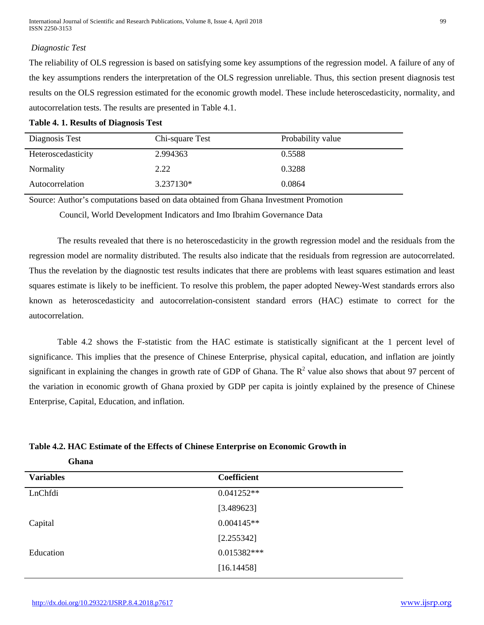# *Diagnostic Test*

The reliability of OLS regression is based on satisfying some key assumptions of the regression model. A failure of any of the key assumptions renders the interpretation of the OLS regression unreliable. Thus, this section present diagnosis test results on the OLS regression estimated for the economic growth model. These include heteroscedasticity, normality, and autocorrelation tests. The results are presented in Table 4.1.

|  |  | <b>Table 4. 1. Results of Diagnosis Test</b> |  |
|--|--|----------------------------------------------|--|
|--|--|----------------------------------------------|--|

| Diagnosis Test     | Chi-square Test | Probability value |
|--------------------|-----------------|-------------------|
| Heteroscedasticity | 2.994363        | 0.5588            |
| Normality          | 2.22            | 0.3288            |
| Autocorrelation    | $3.237130*$     | 0.0864            |

Source: Author's computations based on data obtained from Ghana Investment Promotion

Council, World Development Indicators and Imo Ibrahim Governance Data

The results revealed that there is no heteroscedasticity in the growth regression model and the residuals from the regression model are normality distributed. The results also indicate that the residuals from regression are autocorrelated. Thus the revelation by the diagnostic test results indicates that there are problems with least squares estimation and least squares estimate is likely to be inefficient. To resolve this problem, the paper adopted Newey-West standards errors also known as heteroscedasticity and autocorrelation-consistent standard errors (HAC) estimate to correct for the autocorrelation.

Table 4.2 shows the F-statistic from the HAC estimate is statistically significant at the 1 percent level of significance. This implies that the presence of Chinese Enterprise, physical capital, education, and inflation are jointly significant in explaining the changes in growth rate of GDP of Ghana. The  $R^2$  value also shows that about 97 percent of the variation in economic growth of Ghana proxied by GDP per capita is jointly explained by the presence of Chinese Enterprise, Capital, Education, and inflation.

| Table 4.2. HAC Estimate of the Effects of Chinese Enterprise on Economic Growth in |
|------------------------------------------------------------------------------------|
|------------------------------------------------------------------------------------|

| Ghana            |              |  |
|------------------|--------------|--|
| <b>Variables</b> | Coefficient  |  |
| LnChfdi          | $0.041252**$ |  |
|                  | [3.489623]   |  |
| Capital          | $0.004145**$ |  |
|                  | [2.255342]   |  |
| Education        | 0.015382***  |  |
|                  | [16.14458]   |  |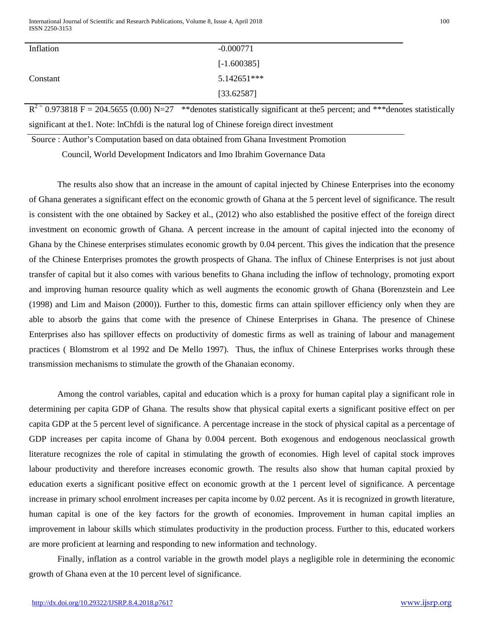| Inflation | $-0.000771$   |
|-----------|---------------|
|           | $[-1.600385]$ |
| Constant  | 5.142651***   |
|           | [33.62587]    |

 $R^{2}$  = 0.973818 F = 204.5655 (0.00) N=27 \*\* denotes statistically significant at the 5 percent; and \*\*\* denotes statistically significant at the1. Note: lnChfdi is the natural log of Chinese foreign direct investment

Source : Author's Computation based on data obtained from Ghana Investment Promotion

Council, World Development Indicators and Imo Ibrahim Governance Data

The results also show that an increase in the amount of capital injected by Chinese Enterprises into the economy of Ghana generates a significant effect on the economic growth of Ghana at the 5 percent level of significance. The result is consistent with the one obtained by Sackey et al., (2012) who also established the positive effect of the foreign direct investment on economic growth of Ghana. A percent increase in the amount of capital injected into the economy of Ghana by the Chinese enterprises stimulates economic growth by 0.04 percent. This gives the indication that the presence of the Chinese Enterprises promotes the growth prospects of Ghana. The influx of Chinese Enterprises is not just about transfer of capital but it also comes with various benefits to Ghana including the inflow of technology, promoting export and improving human resource quality which as well augments the economic growth of Ghana (Borenzstein and Lee (1998) and Lim and Maison (2000)). Further to this, domestic firms can attain spillover efficiency only when they are able to absorb the gains that come with the presence of Chinese Enterprises in Ghana. The presence of Chinese Enterprises also has spillover effects on productivity of domestic firms as well as training of labour and management practices ( Blomstrom et al 1992 and De Mello 1997). Thus, the influx of Chinese Enterprises works through these transmission mechanisms to stimulate the growth of the Ghanaian economy.

Among the control variables, capital and education which is a proxy for human capital play a significant role in determining per capita GDP of Ghana. The results show that physical capital exerts a significant positive effect on per capita GDP at the 5 percent level of significance. A percentage increase in the stock of physical capital as a percentage of GDP increases per capita income of Ghana by 0.004 percent. Both exogenous and endogenous neoclassical growth literature recognizes the role of capital in stimulating the growth of economies. High level of capital stock improves labour productivity and therefore increases economic growth. The results also show that human capital proxied by education exerts a significant positive effect on economic growth at the 1 percent level of significance. A percentage increase in primary school enrolment increases per capita income by 0.02 percent. As it is recognized in growth literature, human capital is one of the key factors for the growth of economies. Improvement in human capital implies an improvement in labour skills which stimulates productivity in the production process. Further to this, educated workers are more proficient at learning and responding to new information and technology.

Finally, inflation as a control variable in the growth model plays a negligible role in determining the economic growth of Ghana even at the 10 percent level of significance.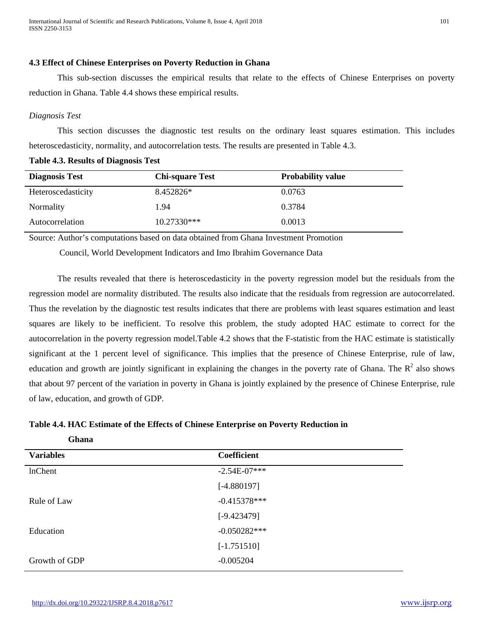# **4.3 Effect of Chinese Enterprises on Poverty Reduction in Ghana**

This sub-section discusses the empirical results that relate to the effects of Chinese Enterprises on poverty reduction in Ghana. Table 4.4 shows these empirical results.

# *Diagnosis Test*

This section discusses the diagnostic test results on the ordinary least squares estimation. This includes heteroscedasticity, normality, and autocorrelation tests. The results are presented in Table 4.3.

**Table 4.3. Results of Diagnosis Test**

| <b>Diagnosis Test</b> | <b>Chi-square Test</b> | <b>Probability value</b> |
|-----------------------|------------------------|--------------------------|
| Heteroscedasticity    | 8.452826*              | 0.0763                   |
| Normality             | 1.94                   | 0.3784                   |
| Autocorrelation       | $10.27330***$          | 0.0013                   |

Source: Author's computations based on data obtained from Ghana Investment Promotion

Council, World Development Indicators and Imo Ibrahim Governance Data

The results revealed that there is heteroscedasticity in the poverty regression model but the residuals from the regression model are normality distributed. The results also indicate that the residuals from regression are autocorrelated. Thus the revelation by the diagnostic test results indicates that there are problems with least squares estimation and least squares are likely to be inefficient. To resolve this problem, the study adopted HAC estimate to correct for the autocorrelation in the poverty regression model.Table 4.2 shows that the F-statistic from the HAC estimate is statistically significant at the 1 percent level of significance. This implies that the presence of Chinese Enterprise, rule of law, education and growth are jointly significant in explaining the changes in the poverty rate of Ghana. The  $R^2$  also shows that about 97 percent of the variation in poverty in Ghana is jointly explained by the presence of Chinese Enterprise, rule of law, education, and growth of GDP.

|  |  |  | Table 4.4. HAC Estimate of the Effects of Chinese Enterprise on Poverty Reduction in |  |  |
|--|--|--|--------------------------------------------------------------------------------------|--|--|
|  |  |  |                                                                                      |  |  |

| <b>Unana</b>     |                |
|------------------|----------------|
| <b>Variables</b> | Coefficient    |
| lnChent          | $-2.54E-07***$ |
|                  | $[-4.880197]$  |
| Rule of Law      | $-0.415378***$ |
|                  | $[-9.423479]$  |
| Education        | $-0.050282***$ |
|                  | $[-1.751510]$  |
| Growth of GDP    | $-0.005204$    |

 **Ghana**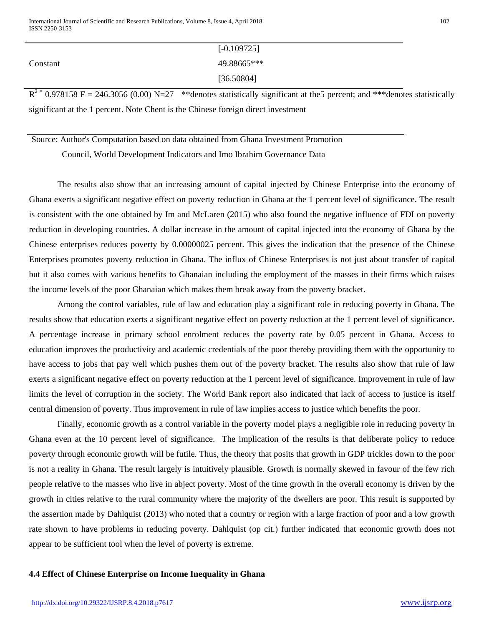|          | $[-0.109725]$ |
|----------|---------------|
| Constant | 49.88665***   |
|          | [36.50804]    |

 $R^{2}$  = 0.978158 F = 246.3056 (0.00) N=27 \*\* denotes statistically significant at the 5 percent; and \*\* \* denotes statistically significant at the 1 percent. Note Chent is the Chinese foreign direct investment

Source: Author's Computation based on data obtained from Ghana Investment Promotion

Council, World Development Indicators and Imo Ibrahim Governance Data

The results also show that an increasing amount of capital injected by Chinese Enterprise into the economy of Ghana exerts a significant negative effect on poverty reduction in Ghana at the 1 percent level of significance. The result is consistent with the one obtained by Im and McLaren (2015) who also found the negative influence of FDI on poverty reduction in developing countries. A dollar increase in the amount of capital injected into the economy of Ghana by the Chinese enterprises reduces poverty by 0.00000025 percent. This gives the indication that the presence of the Chinese Enterprises promotes poverty reduction in Ghana. The influx of Chinese Enterprises is not just about transfer of capital but it also comes with various benefits to Ghanaian including the employment of the masses in their firms which raises the income levels of the poor Ghanaian which makes them break away from the poverty bracket.

Among the control variables, rule of law and education play a significant role in reducing poverty in Ghana. The results show that education exerts a significant negative effect on poverty reduction at the 1 percent level of significance. A percentage increase in primary school enrolment reduces the poverty rate by 0.05 percent in Ghana. Access to education improves the productivity and academic credentials of the poor thereby providing them with the opportunity to have access to jobs that pay well which pushes them out of the poverty bracket. The results also show that rule of law exerts a significant negative effect on poverty reduction at the 1 percent level of significance. Improvement in rule of law limits the level of corruption in the society. The World Bank report also indicated that lack of access to justice is itself central dimension of poverty. Thus improvement in rule of law implies access to justice which benefits the poor.

Finally, economic growth as a control variable in the poverty model plays a negligible role in reducing poverty in Ghana even at the 10 percent level of significance. The implication of the results is that deliberate policy to reduce poverty through economic growth will be futile. Thus, the theory that posits that growth in GDP trickles down to the poor is not a reality in Ghana. The result largely is intuitively plausible. Growth is normally skewed in favour of the few rich people relative to the masses who live in abject poverty. Most of the time growth in the overall economy is driven by the growth in cities relative to the rural community where the majority of the dwellers are poor. This result is supported by the assertion made by Dahlquist (2013) who noted that a country or region with a large fraction of poor and a low growth rate shown to have problems in reducing poverty. Dahlquist (op cit.) further indicated that economic growth does not appear to be sufficient tool when the level of poverty is extreme.

# **4.4 Effect of Chinese Enterprise on Income Inequality in Ghana**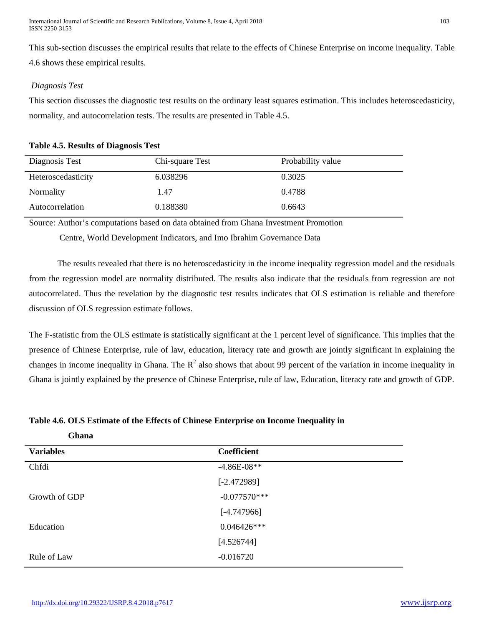International Journal of Scientific and Research Publications, Volume 8, Issue 4, April 2018 103 ISSN 2250-3153

This sub-section discusses the empirical results that relate to the effects of Chinese Enterprise on income inequality. Table 4.6 shows these empirical results.

# *Diagnosis Test*

This section discusses the diagnostic test results on the ordinary least squares estimation. This includes heteroscedasticity, normality, and autocorrelation tests. The results are presented in Table 4.5.

# **Table 4.5. Results of Diagnosis Test**

| Diagnosis Test     | Chi-square Test | Probability value |
|--------------------|-----------------|-------------------|
| Heteroscedasticity | 6.038296        | 0.3025            |
| Normality          | 1.47            | 0.4788            |
| Autocorrelation    | 0.188380        | 0.6643            |

Source: Author's computations based on data obtained from Ghana Investment Promotion

Centre, World Development Indicators, and Imo Ibrahim Governance Data

The results revealed that there is no heteroscedasticity in the income inequality regression model and the residuals from the regression model are normality distributed. The results also indicate that the residuals from regression are not autocorrelated. Thus the revelation by the diagnostic test results indicates that OLS estimation is reliable and therefore discussion of OLS regression estimate follows.

The F-statistic from the OLS estimate is statistically significant at the 1 percent level of significance. This implies that the presence of Chinese Enterprise, rule of law, education, literacy rate and growth are jointly significant in explaining the changes in income inequality in Ghana. The  $R^2$  also shows that about 99 percent of the variation in income inequality in Ghana is jointly explained by the presence of Chinese Enterprise, rule of law, Education, literacy rate and growth of GDP.

# **Table 4.6. OLS Estimate of the Effects of Chinese Enterprise on Income Inequality in**

| Ghana            |                |
|------------------|----------------|
| <b>Variables</b> | Coefficient    |
| Chfdi            | $-4.86E-08**$  |
|                  | $[-2.472989]$  |
| Growth of GDP    | $-0.077570***$ |
|                  | $[-4.747966]$  |
| Education        | $0.046426***$  |
|                  | [4.526744]     |
| Rule of Law      | $-0.016720$    |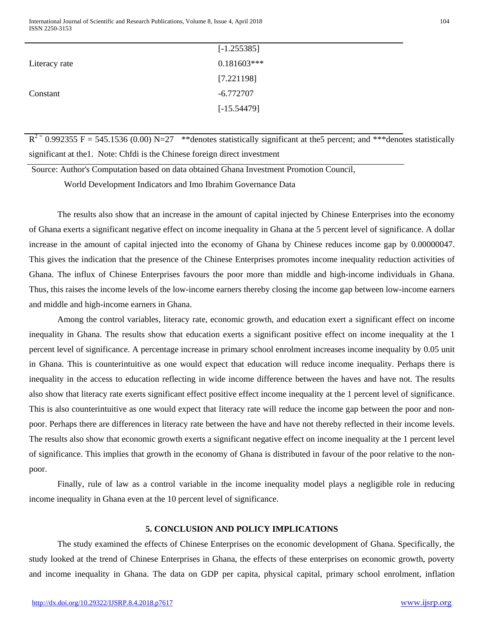International Journal of Scientific and Research Publications, Volume 8, Issue 4, April 2018 104 ISSN 2250-3153

|               | $[-1.255385]$ |
|---------------|---------------|
| Literacy rate | $0.181603***$ |
|               | [7.221198]    |
| Constant      | $-6.772707$   |
|               | $[-15.54479]$ |
|               |               |

 $R^{2}$  = 0.992355 F = 545.1536 (0.00) N=27 \*\* denotes statistically significant at the5 percent; and \*\*\* denotes statistically significant at the1. Note: Chfdi is the Chinese foreign direct investment

Source: Author's Computation based on data obtained Ghana Investment Promotion Council,

World Development Indicators and Imo Ibrahim Governance Data

The results also show that an increase in the amount of capital injected by Chinese Enterprises into the economy of Ghana exerts a significant negative effect on income inequality in Ghana at the 5 percent level of significance. A dollar increase in the amount of capital injected into the economy of Ghana by Chinese reduces income gap by 0.00000047. This gives the indication that the presence of the Chinese Enterprises promotes income inequality reduction activities of Ghana. The influx of Chinese Enterprises favours the poor more than middle and high-income individuals in Ghana. Thus, this raises the income levels of the low-income earners thereby closing the income gap between low-income earners and middle and high-income earners in Ghana.

Among the control variables, literacy rate, economic growth, and education exert a significant effect on income inequality in Ghana. The results show that education exerts a significant positive effect on income inequality at the 1 percent level of significance. A percentage increase in primary school enrolment increases income inequality by 0.05 unit in Ghana. This is counterintuitive as one would expect that education will reduce income inequality. Perhaps there is inequality in the access to education reflecting in wide income difference between the haves and have not. The results also show that literacy rate exerts significant effect positive effect income inequality at the 1 percent level of significance. This is also counterintuitive as one would expect that literacy rate will reduce the income gap between the poor and nonpoor. Perhaps there are differences in literacy rate between the have and have not thereby reflected in their income levels. The results also show that economic growth exerts a significant negative effect on income inequality at the 1 percent level of significance. This implies that growth in the economy of Ghana is distributed in favour of the poor relative to the nonpoor.

Finally, rule of law as a control variable in the income inequality model plays a negligible role in reducing income inequality in Ghana even at the 10 percent level of significance.

# **5. CONCLUSION AND POLICY IMPLICATIONS**

The study examined the effects of Chinese Enterprises on the economic development of Ghana. Specifically, the study looked at the trend of Chinese Enterprises in Ghana, the effects of these enterprises on economic growth, poverty and income inequality in Ghana. The data on GDP per capita, physical capital, primary school enrolment, inflation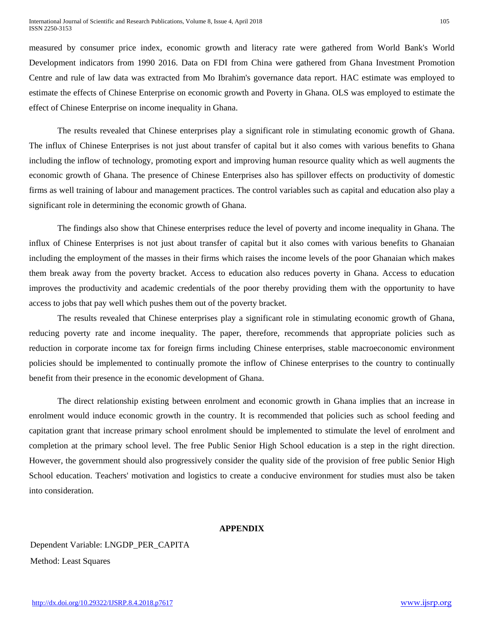measured by consumer price index, economic growth and literacy rate were gathered from World Bank's World Development indicators from 1990 2016. Data on FDI from China were gathered from Ghana Investment Promotion Centre and rule of law data was extracted from Mo Ibrahim's governance data report. HAC estimate was employed to estimate the effects of Chinese Enterprise on economic growth and Poverty in Ghana. OLS was employed to estimate the effect of Chinese Enterprise on income inequality in Ghana.

The results revealed that Chinese enterprises play a significant role in stimulating economic growth of Ghana. The influx of Chinese Enterprises is not just about transfer of capital but it also comes with various benefits to Ghana including the inflow of technology, promoting export and improving human resource quality which as well augments the economic growth of Ghana. The presence of Chinese Enterprises also has spillover effects on productivity of domestic firms as well training of labour and management practices. The control variables such as capital and education also play a significant role in determining the economic growth of Ghana.

The findings also show that Chinese enterprises reduce the level of poverty and income inequality in Ghana. The influx of Chinese Enterprises is not just about transfer of capital but it also comes with various benefits to Ghanaian including the employment of the masses in their firms which raises the income levels of the poor Ghanaian which makes them break away from the poverty bracket. Access to education also reduces poverty in Ghana. Access to education improves the productivity and academic credentials of the poor thereby providing them with the opportunity to have access to jobs that pay well which pushes them out of the poverty bracket.

The results revealed that Chinese enterprises play a significant role in stimulating economic growth of Ghana, reducing poverty rate and income inequality. The paper, therefore, recommends that appropriate policies such as reduction in corporate income tax for foreign firms including Chinese enterprises, stable macroeconomic environment policies should be implemented to continually promote the inflow of Chinese enterprises to the country to continually benefit from their presence in the economic development of Ghana.

The direct relationship existing between enrolment and economic growth in Ghana implies that an increase in enrolment would induce economic growth in the country. It is recommended that policies such as school feeding and capitation grant that increase primary school enrolment should be implemented to stimulate the level of enrolment and completion at the primary school level. The free Public Senior High School education is a step in the right direction. However, the government should also progressively consider the quality side of the provision of free public Senior High School education. Teachers' motivation and logistics to create a conducive environment for studies must also be taken into consideration.

#### **APPENDIX**

Dependent Variable: LNGDP\_PER\_CAPITA Method: Least Squares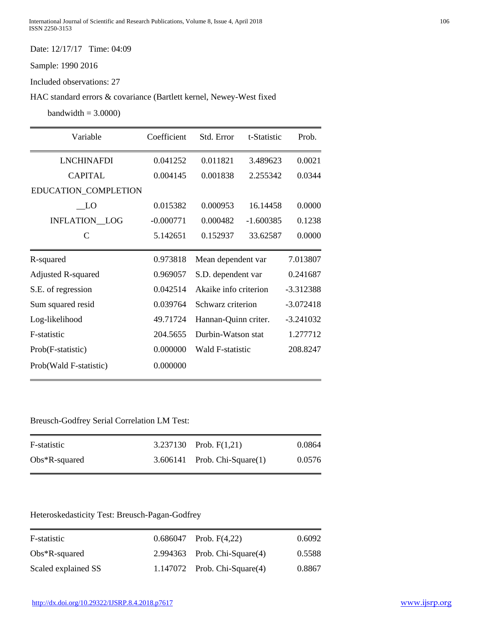Date: 12/17/17 Time: 04:09

Sample: 1990 2016

Included observations: 27

HAC standard errors & covariance (Bartlett kernel, Newey-West fixed

 $bandwidth = 3.0000$ 

| Variable                  | Coefficient | Std. Error            | t-Statistic | Prob.       |
|---------------------------|-------------|-----------------------|-------------|-------------|
| <b>LNCHINAFDI</b>         | 0.041252    | 0.011821              | 3.489623    | 0.0021      |
| <b>CAPITAL</b>            | 0.004145    | 0.001838              | 2.255342    | 0.0344      |
| EDUCATION_COMPLETION      |             |                       |             |             |
| LO                        | 0.015382    | 0.000953              | 16.14458    | 0.0000      |
| <b>INFLATION_LOG</b>      | $-0.000771$ | 0.000482              | $-1.600385$ | 0.1238      |
| C                         | 5.142651    | 0.152937              | 33.62587    | 0.0000      |
| R-squared                 | 0.973818    | Mean dependent var    |             | 7.013807    |
| <b>Adjusted R-squared</b> | 0.969057    | S.D. dependent var    |             | 0.241687    |
| S.E. of regression        | 0.042514    | Akaike info criterion |             | $-3.312388$ |
| Sum squared resid         | 0.039764    | Schwarz criterion     |             | $-3.072418$ |
| Log-likelihood            | 49.71724    | Hannan-Quinn criter.  |             | $-3.241032$ |
| F-statistic               | 204.5655    | Durbin-Watson stat    |             | 1.277712    |
| Prob(F-statistic)         | 0.000000    | Wald F-statistic      |             | 208.8247    |
| Prob(Wald F-statistic)    | 0.000000    |                       |             |             |

# Breusch-Godfrey Serial Correlation LM Test:

| F-statistic      | 3.237130 Prob. $F(1,21)$          | 0.0864 |
|------------------|-----------------------------------|--------|
| $Obs*R$ -squared | $3.606141$ Prob. Chi-Square $(1)$ | 0.0576 |

# Heteroskedasticity Test: Breusch-Pagan-Godfrey

| F-statistic         | $0.686047$ Prob. $F(4,22)$        | 0.6092 |
|---------------------|-----------------------------------|--------|
| $Obs*R$ -squared    | $2.994363$ Prob. Chi-Square $(4)$ | 0.5588 |
| Scaled explained SS | $1.147072$ Prob. Chi-Square $(4)$ | 0.8867 |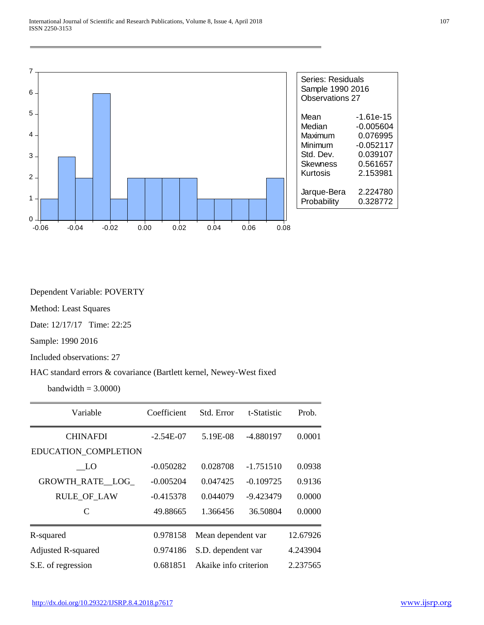

Dependent Variable: POVERTY

Method: Least Squares

Date: 12/17/17 Time: 22:25

Sample: 1990 2016

Included observations: 27

#### HAC standard errors & covariance (Bartlett kernel, Newey-West fixed

 $bandwidth = 3.0000$ 

| Variable                    | Coefficient | Std. Error            | t-Statistic | Prob.    |
|-----------------------------|-------------|-----------------------|-------------|----------|
| <b>CHINAFDI</b>             | $-2.54E-07$ | 5.19E-08              | -4.880197   | 0.0001   |
| EDUCATION_COMPLETION        |             |                       |             |          |
| LO                          | $-0.050282$ | 0.028708              | $-1.751510$ | 0.0938   |
| GROWTH RATE LOG             | $-0.005204$ | 0.047425              | $-0.109725$ | 0.9136   |
| RULE_OF_LAW                 | $-0.415378$ | 0.044079              | $-9.423479$ | 0.0000   |
| $\mathcal{C}_{\mathcal{C}}$ | 49.88665    | 1.366456              | 36.50804    | 0.0000   |
| R-squared                   | 0.978158    | Mean dependent var    |             | 12.67926 |
| Adjusted R-squared          | 0.974186    | S.D. dependent var    |             | 4.243904 |
| S.E. of regression          | 0.681851    | Akaike info criterion |             | 2.237565 |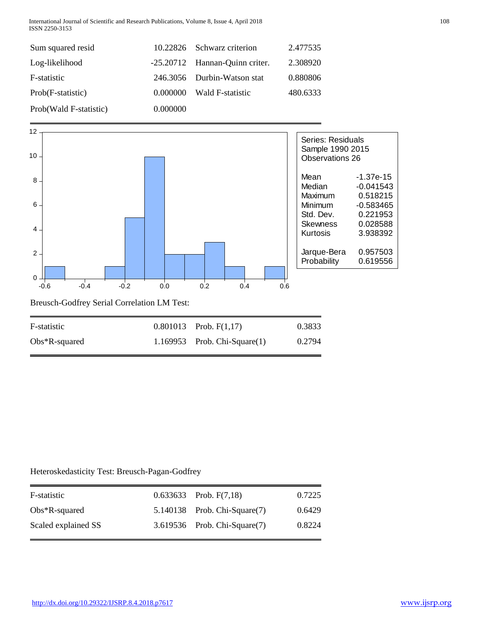International Journal of Scientific and Research Publications, Volume 8, Issue 4, April 2018 108 ISSN 2250-3153

| Sum squared resid      |          | 10.22826 Schwarz criterion     | 2.477535 |
|------------------------|----------|--------------------------------|----------|
| Log-likelihood         |          | -25.20712 Hannan-Quinn criter. | 2.308920 |
| F-statistic            |          | 246.3056 Durbin-Watson stat    | 0.880806 |
| Prob(F-statistic)      | 0.000000 | Wald F-statistic               | 480.6333 |
| Prob(Wald F-statistic) | 0.000000 |                                |          |



# Heteroskedasticity Test: Breusch-Pagan-Godfrey

| F-statistic         | $0.633633$ Prob. $F(7,18)$        | 0.7225 |
|---------------------|-----------------------------------|--------|
| $Obs*R$ -squared    | 5.140138 Prob. Chi-Square(7)      | 0.6429 |
| Scaled explained SS | $3.619536$ Prob. Chi-Square $(7)$ | 0.8224 |

Obs\*R-squared 1.169953 Prob. Chi-Square(1) 0.2794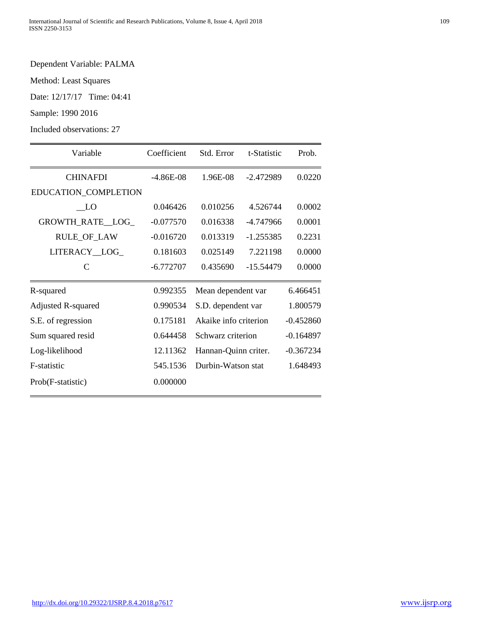# Dependent Variable: PALMA

Method: Least Squares

Date: 12/17/17 Time: 04:41

Sample: 1990 2016

Included observations: 27

| Variable             | Coefficient | Std. Error            | t-Statistic | Prob.       |
|----------------------|-------------|-----------------------|-------------|-------------|
| <b>CHINAFDI</b>      | $-4.86E-08$ | 1.96E-08              | $-2.472989$ | 0.0220      |
| EDUCATION_COMPLETION |             |                       |             |             |
| - LO                 | 0.046426    | 0.010256              | 4.526744    | 0.0002      |
| GROWTH_RATE_LOG_     | $-0.077570$ | 0.016338              | -4.747966   | 0.0001      |
| <b>RULE_OF_LAW</b>   | $-0.016720$ | 0.013319              | $-1.255385$ | 0.2231      |
| LITERACY_LOG_        | 0.181603    | 0.025149              | 7.221198    | 0.0000      |
| $\mathcal{C}$        | $-6.772707$ | 0.435690              | $-15.54479$ | 0.0000      |
| R-squared            | 0.992355    | Mean dependent var    |             | 6.466451    |
| Adjusted R-squared   | 0.990534    | S.D. dependent var    |             | 1.800579    |
| S.E. of regression   | 0.175181    | Akaike info criterion |             | $-0.452860$ |
| Sum squared resid    | 0.644458    | Schwarz criterion     |             | $-0.164897$ |
| Log-likelihood       | 12.11362    | Hannan-Quinn criter.  |             | $-0.367234$ |
| F-statistic          | 545.1536    | Durbin-Watson stat    |             | 1.648493    |
| Prob(F-statistic)    | 0.000000    |                       |             |             |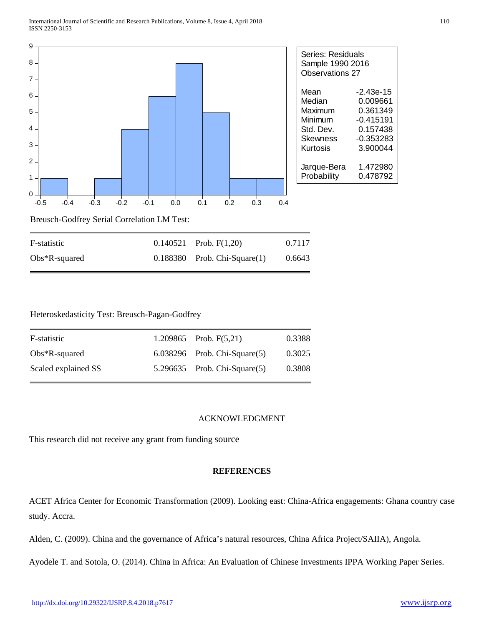

# Heteroskedasticity Test: Breusch-Pagan-Godfrey

| F-statistic         | 1.209865 Prob. $F(5,21)$          | 0.3388 |
|---------------------|-----------------------------------|--------|
| $Obs*R$ -squared    | $6.038296$ Prob. Chi-Square $(5)$ | 0.3025 |
| Scaled explained SS | $5.296635$ Prob. Chi-Square $(5)$ | 0.3808 |

# ACKNOWLEDGMENT

This research did not receive any grant from funding source

#### **REFERENCES**

ACET Africa Center for Economic Transformation (2009). Looking east: China-Africa engagements: Ghana country case study. Accra.

Alden, C. (2009). China and the governance of Africa's natural resources, China Africa Project/SAIIA), Angola.

Ayodele T. and Sotola, O. (2014). China in Africa: An Evaluation of Chinese Investments IPPA Working Paper Series.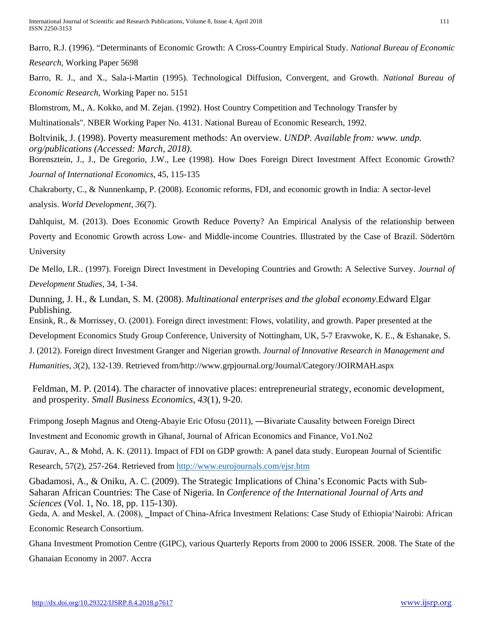International Journal of Scientific and Research Publications, Volume 8, Issue 4, April 2018 111 ISSN 2250-3153

Barro, R.J. (1996). "Determinants of Economic Growth: A Cross-Country Empirical Study. *National Bureau of Economic* 

*Research,* Working Paper 5698

Barro, R. J., and X., Sala-i-Martin (1995). Technological Diffusion, Convergent, and Growth. *National Bureau of Economic Research*, Working Paper no. 5151

Blomstrom, M., A. Kokko, and M. Zejan. (1992). Host Country Competition and Technology Transfer by

Multinationals". NBER Working Paper No. 4131. National Bureau of Economic Research, 1992.

Boltvinik, J. (1998). Poverty measurement methods: An overview. *UNDP. Available from: www. undp. org/publications (Accessed: March, 2018)*.

Borensztein, J., J., De Gregorio, J.W., Lee (1998). How Does Foreign Direct Investment Affect Economic Growth? *Journal of International Economics*, 45, 115-135

Chakraborty, C., & Nunnenkamp, P. (2008). Economic reforms, FDI, and economic growth in India: A sector-level analysis. *World Development, 36*(7).

Dahlquist, M. (2013). Does Economic Growth Reduce Poverty? An Empirical Analysis of the relationship between Poverty and Economic Growth across Low- and Middle-income Countries. Illustrated by the Case of Brazil. Södertörn

University

De Mello, LR.. (1997). Foreign Direct Investment in Developing Countries and Growth: A Selective Survey. *Journal of Development Studies*, 34, 1-34.

Dunning, J. H., & Lundan, S. M. (2008). *Multinational enterprises and the global economy*.Edward Elgar Publishing.

Ensink, R., & Morrissey, O. (2001). Foreign direct investment: Flows, volatility, and growth. Paper presented at the

Development Economics Study Group Conference, University of Nottingham, UK, 5-7 Eravwoke, K. E., & Eshanake, S.

J. (2012). Foreign direct Investment Granger and Nigerian growth. *Journal of Innovative Research in Management and* 

*Humanities, 3*(2), 132-139. Retrieved from/http://www.grpjournal.org/Journal/Category/JOIRMAH.aspx

Feldman, M. P. (2014). The character of innovative places: entrepreneurial strategy, economic development, and prosperity. *Small Business Economics*, *43*(1), 9-20.

Frimpong Joseph Magnus and Oteng-Abayie Eric Ofosu (2011), ―Bivariate Causality between Foreign Direct

Investment and Economic growth in Ghanal, Journal of African Economics and Finance, Vo1.No2

Gaurav, A., & Mohd, A. K. (2011). Impact of FDI on GDP growth: A panel data study. European Journal of Scientific

Research, 57(2), 257-264. Retrieved from<http://www.eurojournals.com/ejsr.htm>

Gbadamosi, A., & Oniku, A. C. (2009). The Strategic Implications of China's Economic Pacts with Sub-Saharan African Countries: The Case of Nigeria. In *Conference of the International Journal of Arts and Sciences* (Vol. 1, No. 18, pp. 115-130).

Geda, A. and Meskel, A. (2008), Lempact of China-Africa Investment Relations: Case Study of Ethiopia Nairobi: African Economic Research Consortium.

Ghana Investment Promotion Centre (GIPC), various Quarterly Reports from 2000 to 2006 ISSER. 2008. The State of the

Ghanaian Economy in 2007. Accra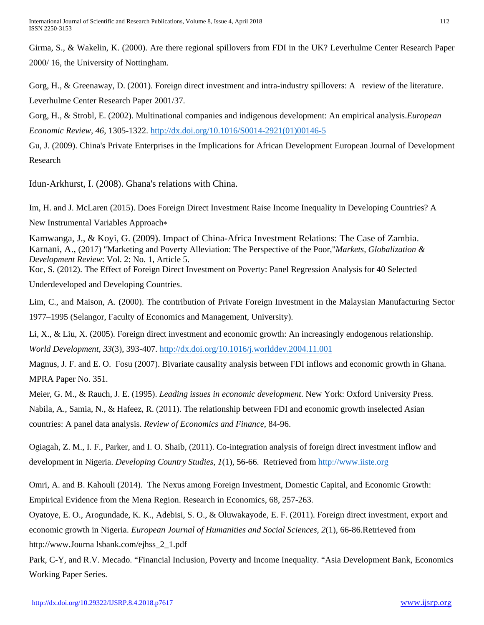Girma, S., & Wakelin, K. (2000). Are there regional spillovers from FDI in the UK? Leverhulme Center Research Paper 2000/ 16, the University of Nottingham.

Gorg, H., & Greenaway, D. (2001). Foreign direct investment and intra-industry spillovers: A review of the literature. Leverhulme Center Research Paper 2001/37.

Gorg, H., & Strobl, E. (2002). Multinational companies and indigenous development: An empirical analysis.*European Economic Review, 46*, 1305-1322. [http://dx.doi.org/10.1016/S0014-2921\(01\)00146-5](http://dx.doi.org/10.1016/S0014-2921(01)00146-5)

Gu, J. (2009). China's Private Enterprises in the Implications for African Development European Journal of Development Research

Idun-Arkhurst, I. (2008). Ghana's relations with China.

Im, H. and J. McLaren (2015). Does Foreign Direct Investment Raise Income Inequality in Developing Countries? A New Instrumental Variables Approach∗

Kamwanga, J., & Koyi, G. (2009). Impact of China-Africa Investment Relations: The Case of Zambia. Karnani, A., (2017) "Marketing and Poverty Alleviation: The Perspective of the Poor,"*Markets, Globalization & Development Review*: Vol. 2: No. 1, Article 5. Koc, S. (2012). The Effect of Foreign Direct Investment on Poverty: Panel Regression Analysis for 40 Selected

Underdeveloped and Developing Countries.

Lim, C., and Maison, A. (2000). The contribution of Private Foreign Investment in the Malaysian Manufacturing Sector 1977–1995 (Selangor, Faculty of Economics and Management, University).

Li, X., & Liu, X. (2005). Foreign direct investment and economic growth: An increasingly endogenous relationship. *World Development, 33*(3), 393-407. <http://dx.doi.org/10.1016/j.worlddev.2004.11.001>

Magnus, J. F. and E. O. Fosu (2007). Bivariate causality analysis between FDI inflows and economic growth in Ghana. MPRA Paper No. 351.

Meier, G. M., & Rauch, J. E. (1995). *Leading issues in economic development*. New York: Oxford University Press. Nabila, A., Samia, N., & Hafeez, R. (2011). The relationship between FDI and economic growth inselected Asian countries: A panel data analysis. *Review of Economics and Finance*, 84-96.

Ogiagah, Z. M., I. F., Parker, and I. O. Shaib, (2011). Co-integration analysis of foreign direct investment inflow and development in Nigeria. *Developing Country Studies, 1*(1), 56-66. Retrieved from [http://www.iiste.org](http://www.iiste.org/)

Omri, A. and B. Kahouli (2014). The Nexus among Foreign Investment, Domestic Capital, and Economic Growth: Empirical Evidence from the Mena Region. Research in Economics, 68, 257-263.

Oyatoye, E. O., Arogundade, K. K., Adebisi, S. O., & Oluwakayode, E. F. (2011). Foreign direct investment, export and economic growth in Nigeria. *European Journal of Humanities and Social Sciences, 2*(1), 66-86.Retrieved from http://www.Journa lsbank.com/ejhss\_2\_1.pdf

Park, C-Y, and R.V. Mecado. "Financial Inclusion, Poverty and Income Inequality. "Asia Development Bank, Economics Working Paper Series.